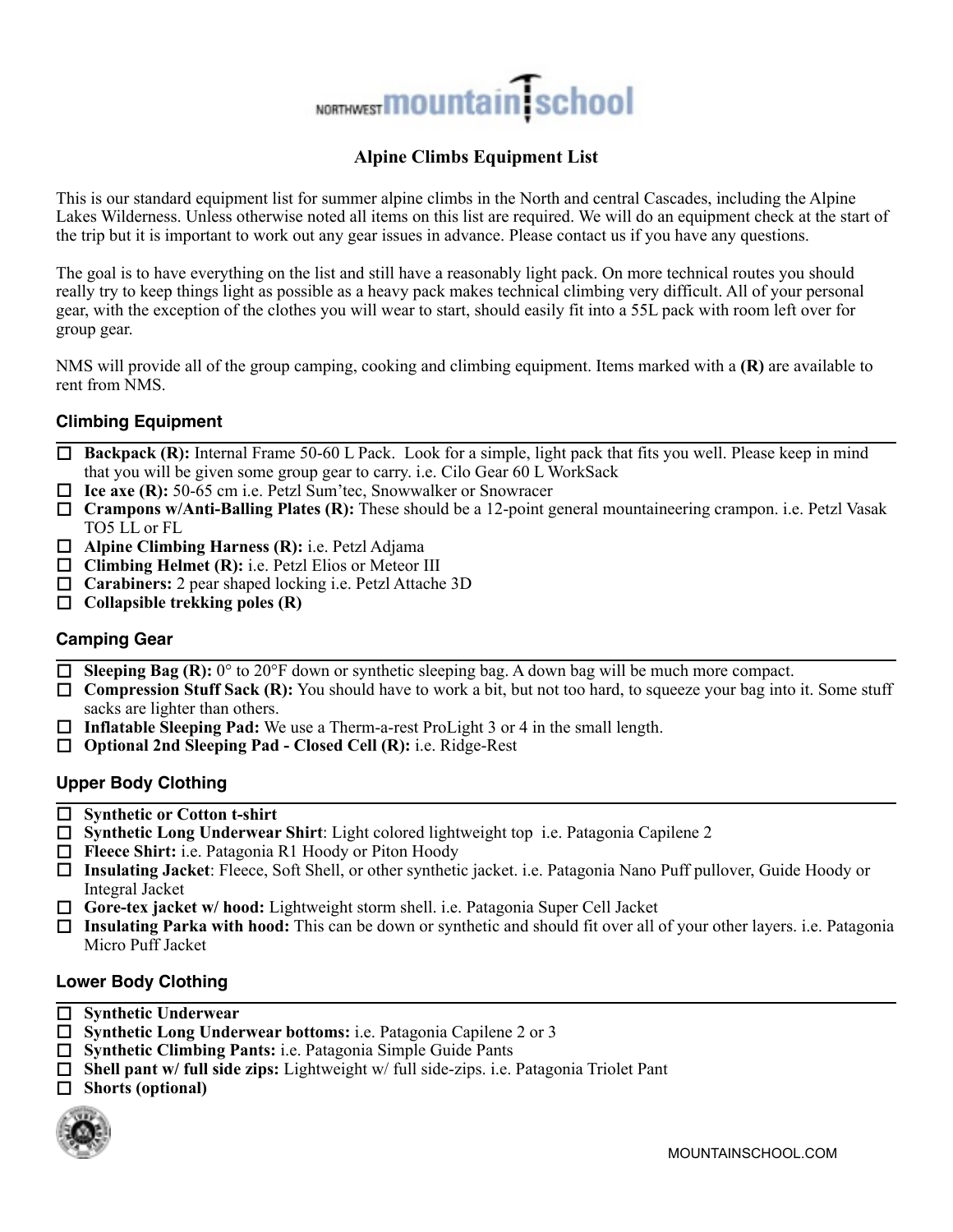# NORTHWEST **MOUNTAIN** School

## **Alpine Climbs Equipment List**

This is our standard equipment list for summer alpine climbs in the North and central Cascades, including the Alpine Lakes Wilderness. Unless otherwise noted all items on this list are required. We will do an equipment check at the start of the trip but it is important to work out any gear issues in advance. Please contact us if you have any questions.

The goal is to have everything on the list and still have a reasonably light pack. On more technical routes you should really try to keep things light as possible as a heavy pack makes technical climbing very difficult. All of your personal gear, with the exception of the clothes you will wear to start, should easily fit into a 55L pack with room left over for group gear.

NMS will provide all of the group camping, cooking and climbing equipment. Items marked with a **(R)** are available to rent from NMS.

## **Climbing Equipment**

- $\Box$  Backpack (R): Internal Frame 50-60 L Pack. Look for a simple, light pack that fits you well. Please keep in mind that you will be given some group gear to carry. i.e. Cilo Gear 60 L WorkSack
- □ Ice axe (R): 50-65 cm i.e. Petzl Sum'tec, Snowwalker or Snowracer
- □ **Crampons w/Anti-Balling Plates (R):** These should be a 12-point general mountaineering crampon. i.e. Petzl Vasak TO5 LL or FL
- □ **Alpine Climbing Harness (R):** i.e. Petzl Adjama
- □ **Climbing Helmet (R):** i.e. Petzl Elios or Meteor III
- □ **Carabiners:** 2 pear shaped locking i.e. Petzl Attache 3D
- $\Box$  Collapsible trekking poles  $(R)$

## **Camping Gear**

- $\Box$  **Sleeping Bag (R):**  $0^{\circ}$  to 20°F down or synthetic sleeping bag. A down bag will be much more compact.
- **Compression Stuff Sack (R):** You should have to work a bit, but not too hard, to squeeze your bag into it. Some stuff sacks are lighter than others.
- $\Box$  **Inflatable Sleeping Pad:** We use a Therm-a-rest ProLight 3 or 4 in the small length.
- □ **Optional 2nd Sleeping Pad Closed Cell (R):** i.e. Ridge-Rest

## **Upper Body Clothing**

- □ Synthetic or Cotton t-shirt
- □ **Synthetic Long Underwear Shirt**: Light colored lightweight top i.e. Patagonia Capilene 2
- □ **Fleece Shirt:** i.e. Patagonia R1 Hoody or Piton Hoody
- □ Insulating Jacket: Fleece, Soft Shell, or other synthetic jacket. i.e. Patagonia Nano Puff pullover, Guide Hoody or Integral Jacket
- Gore-tex jacket w/ hood: Lightweight storm shell. i.e. Patagonia Super Cell Jacket
- **□ Insulating Parka with hood:** This can be down or synthetic and should fit over all of your other layers. i.e. Patagonia Micro Puff Jacket

## **Lower Body Clothing**

- □ Synthetic Underwear
- □ **Synthetic Long Underwear bottoms:** i.e. Patagonia Capilene 2 or 3
- □ **Synthetic Climbing Pants:** i.e. Patagonia Simple Guide Pants
- □ **Shell pant w/ full side zips:** Lightweight w/ full side-zips. i.e. Patagonia Triolet Pant
- □ Shorts (optional)

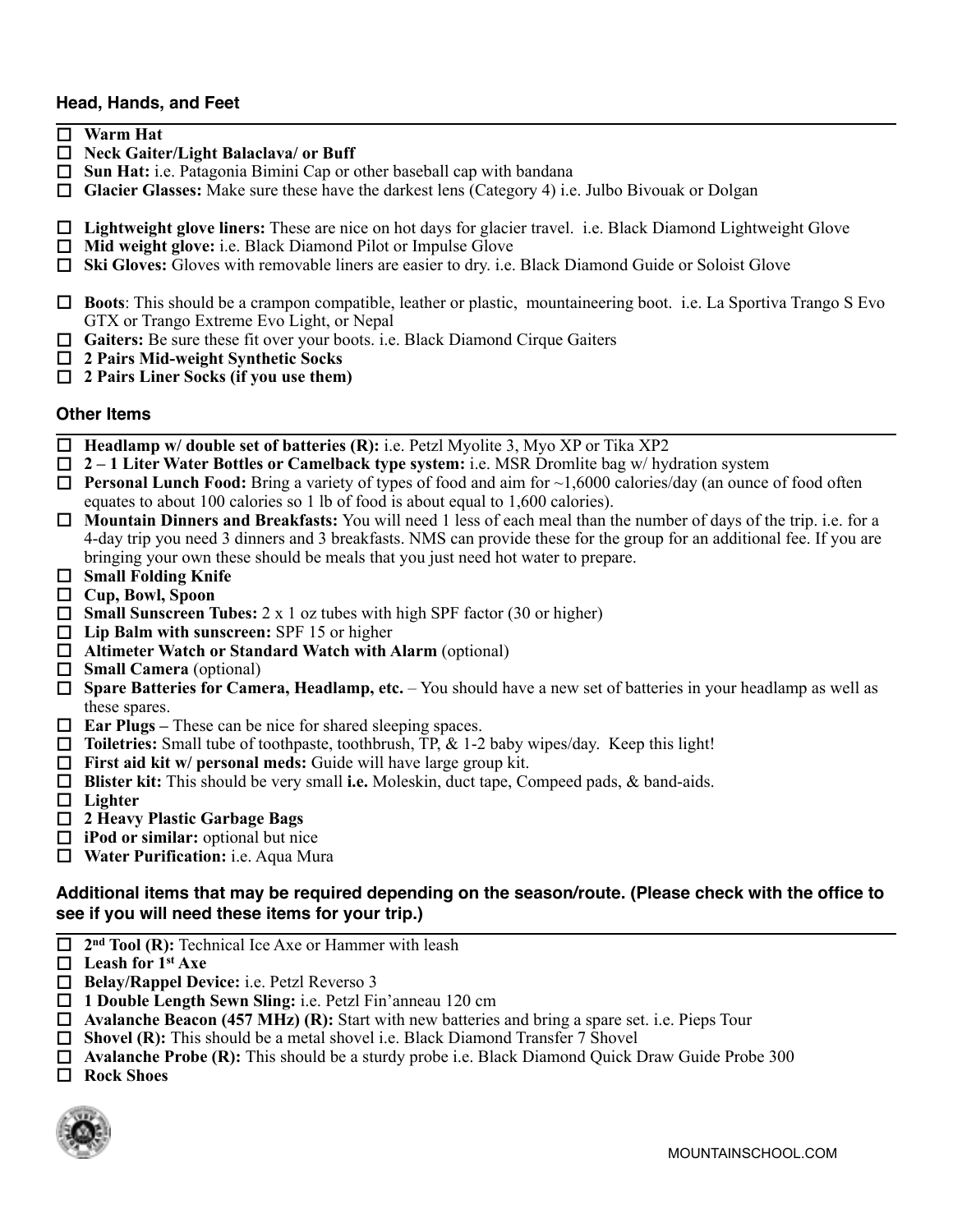### **Head, Hands, and Feet**

- o **Warm Hat**
- □ Neck Gaiter/Light Balaclava/ or Buff
- □ Sun Hat: i.e. Patagonia Bimini Cap or other baseball cap with bandana
- Glacier Glasses: Make sure these have the darkest lens (Category 4) i.e. Julbo Bivouak or Dolgan
- □ **Lightweight glove liners:** These are nice on hot days for glacier travel. i.e. Black Diamond Lightweight Glove
- □ Mid weight glove: i.e. Black Diamond Pilot or Impulse Glove
- □ Ski Gloves: Gloves with removable liners are easier to dry. i.e. Black Diamond Guide or Soloist Glove
- $\Box$  **Boots**: This should be a crampon compatible, leather or plastic, mountaineering boot. i.e. La Sportiva Trango S Evo GTX or Trango Extreme Evo Light, or Nepal
- **Gaiters:** Be sure these fit over your boots. i.e. Black Diamond Cirque Gaiters
- o **2 Pairs Mid-weight Synthetic Socks**
- o **2 Pairs Liner Socks (if you use them)**

#### **Other Items**

- □ **Headlamp w/ double set of batteries (R):** i.e. Petzl Myolite 3, Myo XP or Tika XP2
- o **2 1 Liter Water Bottles or Camelback type system:** i.e. MSR Dromlite bag w/ hydration system
- **□ Personal Lunch Food:** Bring a variety of types of food and aim for ~1,6000 calories/day (an ounce of food often equates to about 100 calories so 1 lb of food is about equal to 1,600 calories).
- **□ Mountain Dinners and Breakfasts:** You will need 1 less of each meal than the number of days of the trip. i.e. for a 4-day trip you need 3 dinners and 3 breakfasts. NMS can provide these for the group for an additional fee. If you are bringing your own these should be meals that you just need hot water to prepare.
- $\Box$  Small Folding Knife
- o **Cup, Bowl, Spoon**
- $\Box$  **Small Sunscreen Tubes:** 2 x 1 oz tubes with high SPF factor (30 or higher)
- □ Lip Balm with sunscreen: SPF 15 or higher
- □ Altimeter Watch or Standard Watch with Alarm (optional)
- □ **Small Camera** (optional)
- □ **Spare Batteries for Camera, Headlamp, etc.** You should have a new set of batteries in your headlamp as well as these spares.
- □ **Ear Plugs** These can be nice for shared sleeping spaces.
- □ **Toiletries:** Small tube of toothpaste, toothbrush, TP, & 1-2 baby wipes/day. Keep this light!
- **First aid kit w/ personal meds:** Guide will have large group kit.
- **□ Blister kit:** This should be very small i.e. Moleskin, duct tape, Compeed pads, & band-aids.
- □ Lighter
- o **2 Heavy Plastic Garbage Bags**
- $\Box$  **iPod or similar:** optional but nice
- $\Box$  Water Purification: i.e. Aqua Mura

## **Additional items that may be required depending on the season/route. (Please check with the office to see if you will need these items for your trip.)**

- □ 2<sup>nd</sup> Tool (R): Technical Ice Axe or Hammer with leash
- □ Leash for 1<sup>st</sup> Axe
- □ **Belay/Rappel Device:** i.e. Petzl Reverso 3
- □ 1 Double Length Sewn Sling: i.e. Petzl Fin'anneau 120 cm
- □ **Avalanche Beacon (457 MHz) (R):** Start with new batteries and bring a spare set. i.e. Pieps Tour
- □ **Shovel (R):** This should be a metal shovel i.e. Black Diamond Transfer 7 Shovel
- □ **Avalanche Probe (R):** This should be a sturdy probe i.e. Black Diamond Quick Draw Guide Probe 300
- □ Rock Shoes